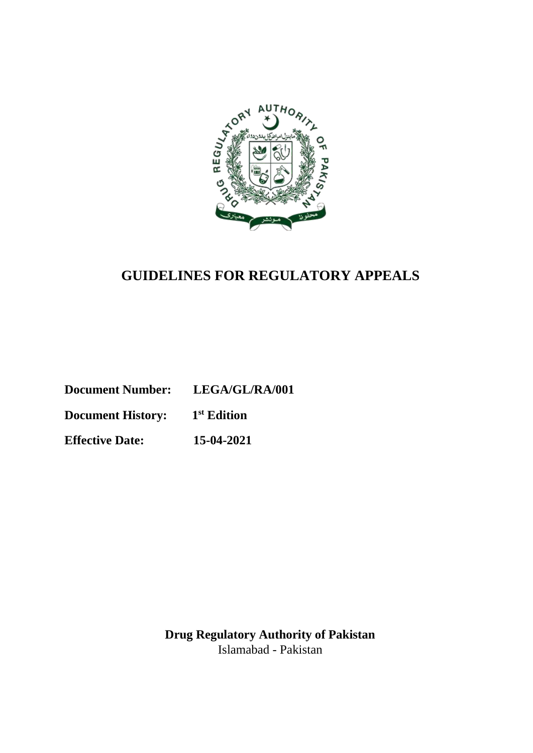

# **GUIDELINES FOR REGULATORY APPEALS**

**Document Number: LEGA/GL/RA/001 Document History: 1 st Edition Effective Date: 15-04-2021**

> **Drug Regulatory Authority of Pakistan** Islamabad - Pakistan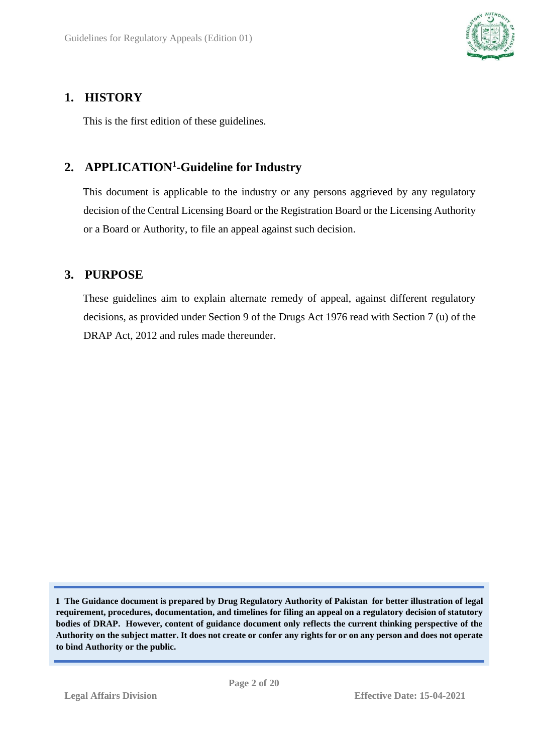

# <span id="page-1-0"></span>**1. HISTORY**

This is the first edition of these guidelines.

# <span id="page-1-1"></span>**2. APPLICATION<sup>1</sup> -Guideline for Industry**

This document is applicable to the industry or any persons aggrieved by any regulatory decision of the Central Licensing Board or the Registration Board or the Licensing Authority or a Board or Authority, to file an appeal against such decision.

# <span id="page-1-2"></span>**3. PURPOSE**

These guidelines aim to explain alternate remedy of appeal, against different regulatory decisions, as provided under Section 9 of the Drugs Act 1976 read with Section 7 (u) of the DRAP Act, 2012 and rules made thereunder.

**1 The Guidance document is prepared by Drug Regulatory Authority of Pakistan for better illustration of legal requirement, procedures, documentation, and timelines for filing an appeal on a regulatory decision of statutory bodies of DRAP. However, content of guidance document only reflects the current thinking perspective of the Authority on the subject matter. It does not create or confer any rights for or on any person and does not operate to bind Authority or the public.**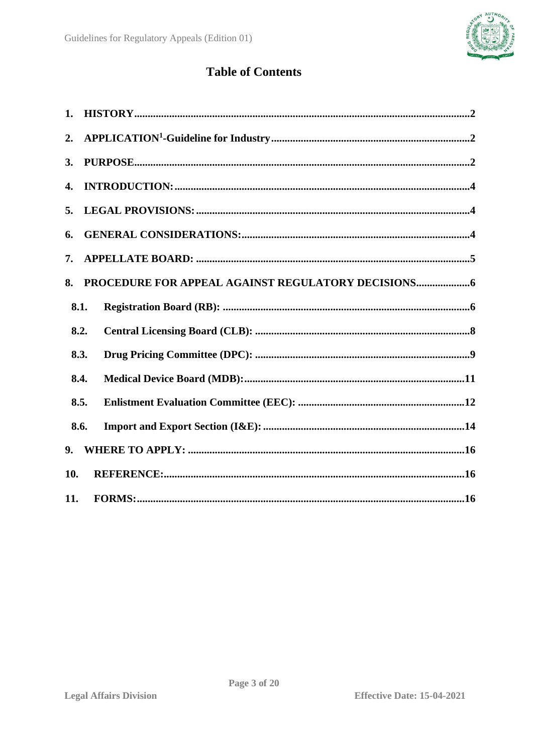

# **Table of Contents**

| 1.   |           |
|------|-----------|
| 2.   |           |
| 3.   |           |
| 4.   |           |
| 5.   |           |
| 6.   |           |
| 7.   |           |
| 8.   |           |
| 8.1. |           |
| 8.2. |           |
| 8.3. |           |
| 8.4. |           |
| 8.5. |           |
| 8.6. |           |
| 9.   |           |
| 10.  |           |
| 11.  | FORMS: 16 |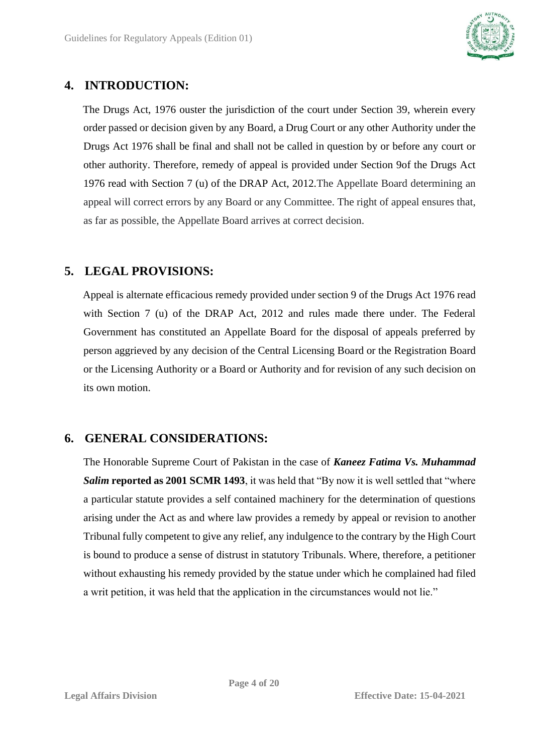

### <span id="page-3-0"></span>**4. INTRODUCTION:**

The Drugs Act, 1976 ouster the jurisdiction of the court under Section 39, wherein every order passed or decision given by any Board, a Drug Court or any other Authority under the Drugs Act 1976 shall be final and shall not be called in question by or before any court or other authority. Therefore, remedy of appeal is provided under Section 9of the Drugs Act 1976 read with Section 7 (u) of the DRAP Act, 2012.The Appellate Board determining an appeal will correct errors by any Board or any Committee. The right of appeal ensures that, as far as possible, the Appellate Board arrives at correct decision.

# <span id="page-3-1"></span>**5. LEGAL PROVISIONS:**

Appeal is alternate efficacious remedy provided under section 9 of the Drugs Act 1976 read with Section 7 (u) of the DRAP Act, 2012 and rules made there under. The Federal Government has constituted an Appellate Board for the disposal of appeals preferred by person aggrieved by any decision of the Central Licensing Board or the Registration Board or the Licensing Authority or a Board or Authority and for revision of any such decision on its own motion.

## <span id="page-3-2"></span>**6. GENERAL CONSIDERATIONS:**

The Honorable Supreme Court of Pakistan in the case of *Kaneez Fatima Vs. Muhammad Salim* **reported as 2001 SCMR 1493**, it was held that "By now it is well settled that "where a particular statute provides a self contained machinery for the determination of questions arising under the Act as and where law provides a remedy by appeal or revision to another Tribunal fully competent to give any relief, any indulgence to the contrary by the High Court is bound to produce a sense of distrust in statutory Tribunals. Where, therefore, a petitioner without exhausting his remedy provided by the statue under which he complained had filed a writ petition, it was held that the application in the circumstances would not lie."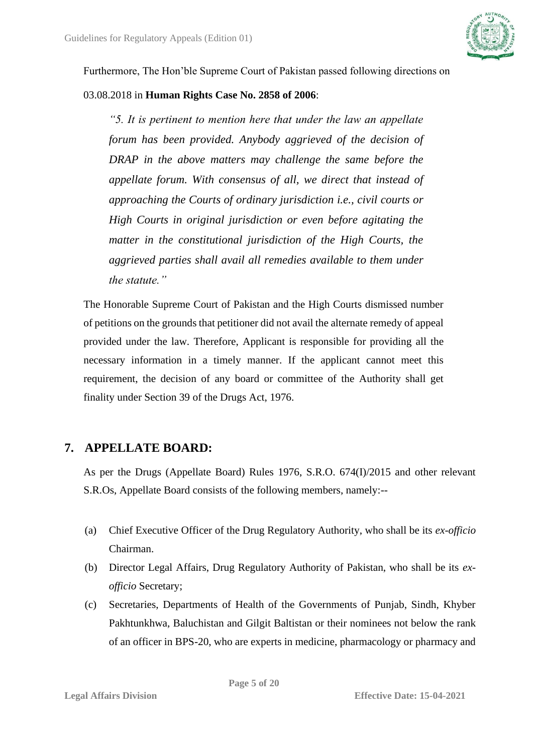

Furthermore, The Hon'ble Supreme Court of Pakistan passed following directions on

#### 03.08.2018 in **Human Rights Case No. 2858 of 2006**:

*"5. It is pertinent to mention here that under the law an appellate forum has been provided. Anybody aggrieved of the decision of DRAP in the above matters may challenge the same before the appellate forum. With consensus of all, we direct that instead of approaching the Courts of ordinary jurisdiction i.e., civil courts or High Courts in original jurisdiction or even before agitating the matter in the constitutional jurisdiction of the High Courts, the aggrieved parties shall avail all remedies available to them under the statute."* 

The Honorable Supreme Court of Pakistan and the High Courts dismissed number of petitions on the grounds that petitioner did not avail the alternate remedy of appeal provided under the law. Therefore, Applicant is responsible for providing all the necessary information in a timely manner. If the applicant cannot meet this requirement, the decision of any board or committee of the Authority shall get finality under Section 39 of the Drugs Act, 1976.

## <span id="page-4-0"></span>**7. APPELLATE BOARD:**

As per the Drugs (Appellate Board) Rules 1976, S.R.O. 674(I)/2015 and other relevant S.R.Os, Appellate Board consists of the following members, namely:--

- (a) Chief Executive Officer of the Drug Regulatory Authority, who shall be its *ex-officio* Chairman.
- (b) Director Legal Affairs, Drug Regulatory Authority of Pakistan, who shall be its *exofficio* Secretary;
- (c) Secretaries, Departments of Health of the Governments of Punjab, Sindh, Khyber Pakhtunkhwa, Baluchistan and Gilgit Baltistan or their nominees not below the rank of an officer in BPS-20, who are experts in medicine, pharmacology or pharmacy and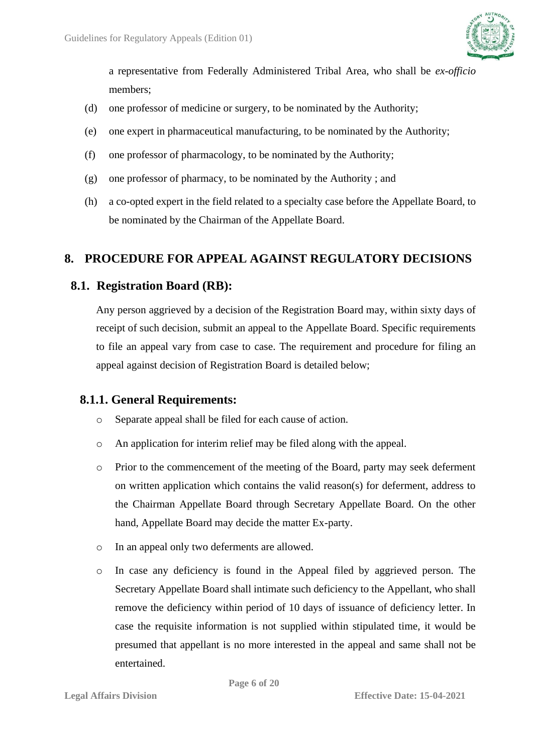

a representative from Federally Administered Tribal Area, who shall be *ex-officio* members;

- (d) one professor of medicine or surgery, to be nominated by the Authority;
- (e) one expert in pharmaceutical manufacturing, to be nominated by the Authority;
- (f) one professor of pharmacology, to be nominated by the Authority;
- (g) one professor of pharmacy, to be nominated by the Authority ; and
- (h) a co-opted expert in the field related to a specialty case before the Appellate Board, to be nominated by the Chairman of the Appellate Board.

### <span id="page-5-0"></span>**8. PROCEDURE FOR APPEAL AGAINST REGULATORY DECISIONS**

#### <span id="page-5-1"></span>**8.1. Registration Board (RB):**

Any person aggrieved by a decision of the Registration Board may, within sixty days of receipt of such decision, submit an appeal to the Appellate Board. Specific requirements to file an appeal vary from case to case. The requirement and procedure for filing an appeal against decision of Registration Board is detailed below;

#### **8.1.1. General Requirements:**

- o Separate appeal shall be filed for each cause of action.
- o An application for interim relief may be filed along with the appeal.
- o Prior to the commencement of the meeting of the Board, party may seek deferment on written application which contains the valid reason(s) for deferment, address to the Chairman Appellate Board through Secretary Appellate Board. On the other hand, Appellate Board may decide the matter Ex-party.
- o In an appeal only two deferments are allowed.
- o In case any deficiency is found in the Appeal filed by aggrieved person. The Secretary Appellate Board shall intimate such deficiency to the Appellant, who shall remove the deficiency within period of 10 days of issuance of deficiency letter. In case the requisite information is not supplied within stipulated time, it would be presumed that appellant is no more interested in the appeal and same shall not be entertained.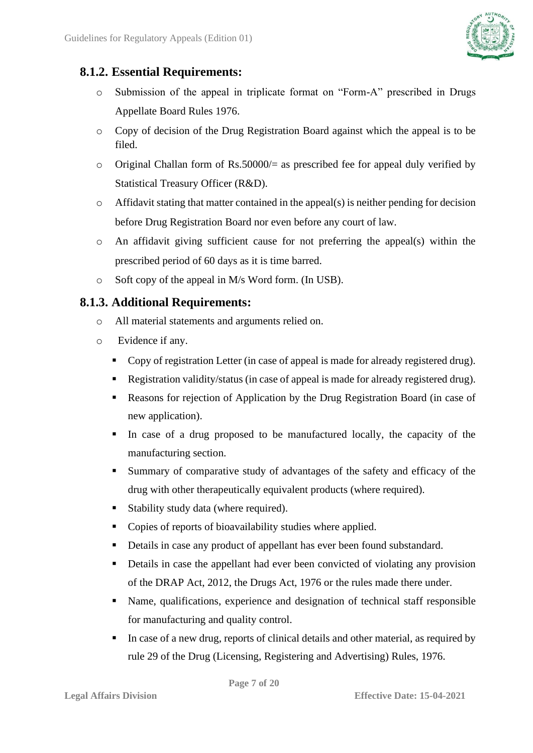

### **8.1.2. Essential Requirements:**

- o Submission of the appeal in triplicate format on "Form-A" prescribed in Drugs Appellate Board Rules 1976.
- o Copy of decision of the Drug Registration Board against which the appeal is to be filed.
- $\circ$  Original Challan form of Rs.50000/= as prescribed fee for appeal duly verified by Statistical Treasury Officer (R&D).
- o Affidavit stating that matter contained in the appeal(s) is neither pending for decision before Drug Registration Board nor even before any court of law.
- o An affidavit giving sufficient cause for not preferring the appeal(s) within the prescribed period of 60 days as it is time barred.
- o Soft copy of the appeal in M/s Word form. (In USB).

# **8.1.3. Additional Requirements:**

- o All material statements and arguments relied on.
- o Evidence if any.
	- Copy of registration Letter (in case of appeal is made for already registered drug).
	- Registration validity/status (in case of appeal is made for already registered drug).
	- Reasons for rejection of Application by the Drug Registration Board (in case of new application).
	- In case of a drug proposed to be manufactured locally, the capacity of the manufacturing section.
	- Summary of comparative study of advantages of the safety and efficacy of the drug with other therapeutically equivalent products (where required).
	- Stability study data (where required).
	- Copies of reports of bioavailability studies where applied.
	- Details in case any product of appellant has ever been found substandard.
	- Details in case the appellant had ever been convicted of violating any provision of the DRAP Act, 2012, the Drugs Act, 1976 or the rules made there under.
	- Name, qualifications, experience and designation of technical staff responsible for manufacturing and quality control.
	- In case of a new drug, reports of clinical details and other material, as required by rule 29 of the Drug (Licensing, Registering and Advertising) Rules, 1976.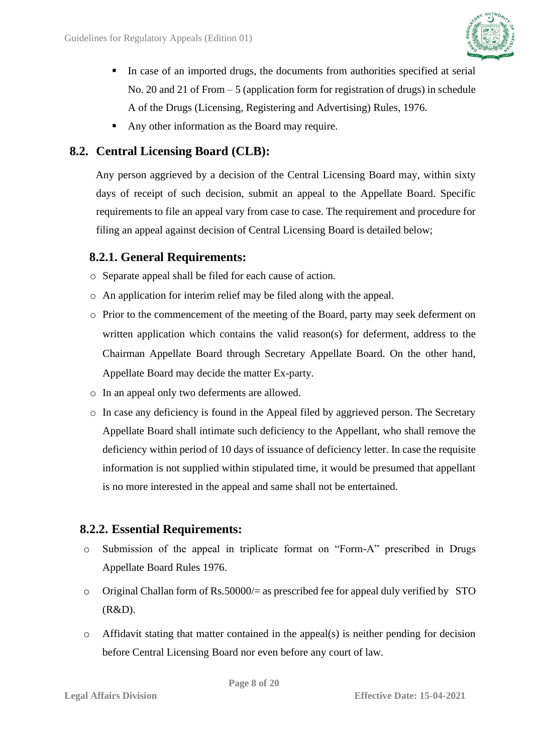

- In case of an imported drugs, the documents from authorities specified at serial No. 20 and 21 of From  $-5$  (application form for registration of drugs) in schedule A of the Drugs (Licensing, Registering and Advertising) Rules, 1976.
- Any other information as the Board may require.

## <span id="page-7-0"></span>**8.2. Central Licensing Board (CLB):**

Any person aggrieved by a decision of the Central Licensing Board may, within sixty days of receipt of such decision, submit an appeal to the Appellate Board. Specific requirements to file an appeal vary from case to case. The requirement and procedure for filing an appeal against decision of Central Licensing Board is detailed below;

### **8.2.1. General Requirements:**

- o Separate appeal shall be filed for each cause of action.
- o An application for interim relief may be filed along with the appeal.
- o Prior to the commencement of the meeting of the Board, party may seek deferment on written application which contains the valid reason(s) for deferment, address to the Chairman Appellate Board through Secretary Appellate Board. On the other hand, Appellate Board may decide the matter Ex-party.
- o In an appeal only two deferments are allowed.
- o In case any deficiency is found in the Appeal filed by aggrieved person. The Secretary Appellate Board shall intimate such deficiency to the Appellant, who shall remove the deficiency within period of 10 days of issuance of deficiency letter. In case the requisite information is not supplied within stipulated time, it would be presumed that appellant is no more interested in the appeal and same shall not be entertained.

## **8.2.2. Essential Requirements:**

- o Submission of the appeal in triplicate format on "Form-A" prescribed in Drugs Appellate Board Rules 1976.
- o Original Challan form of Rs.50000/= as prescribed fee for appeal duly verified by STO (R&D).
- o Affidavit stating that matter contained in the appeal(s) is neither pending for decision before Central Licensing Board nor even before any court of law.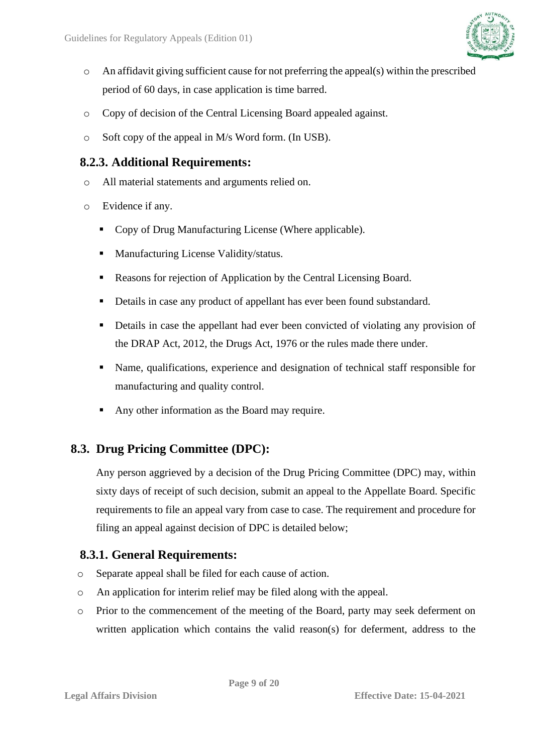

- o An affidavit giving sufficient cause for not preferring the appeal(s) within the prescribed period of 60 days, in case application is time barred.
- o Copy of decision of the Central Licensing Board appealed against.
- o Soft copy of the appeal in M/s Word form. (In USB).

### **8.2.3. Additional Requirements:**

- o All material statements and arguments relied on.
- o Evidence if any.
	- Copy of Drug Manufacturing License (Where applicable).
	- Manufacturing License Validity/status.
	- Reasons for rejection of Application by the Central Licensing Board.
	- Details in case any product of appellant has ever been found substandard.
	- Details in case the appellant had ever been convicted of violating any provision of the DRAP Act, 2012, the Drugs Act, 1976 or the rules made there under.
	- Name, qualifications, experience and designation of technical staff responsible for manufacturing and quality control.
	- Any other information as the Board may require.

# <span id="page-8-0"></span>**8.3. Drug Pricing Committee (DPC):**

Any person aggrieved by a decision of the Drug Pricing Committee (DPC) may, within sixty days of receipt of such decision, submit an appeal to the Appellate Board. Specific requirements to file an appeal vary from case to case. The requirement and procedure for filing an appeal against decision of DPC is detailed below;

## **8.3.1. General Requirements:**

- o Separate appeal shall be filed for each cause of action.
- o An application for interim relief may be filed along with the appeal.
- o Prior to the commencement of the meeting of the Board, party may seek deferment on written application which contains the valid reason(s) for deferment, address to the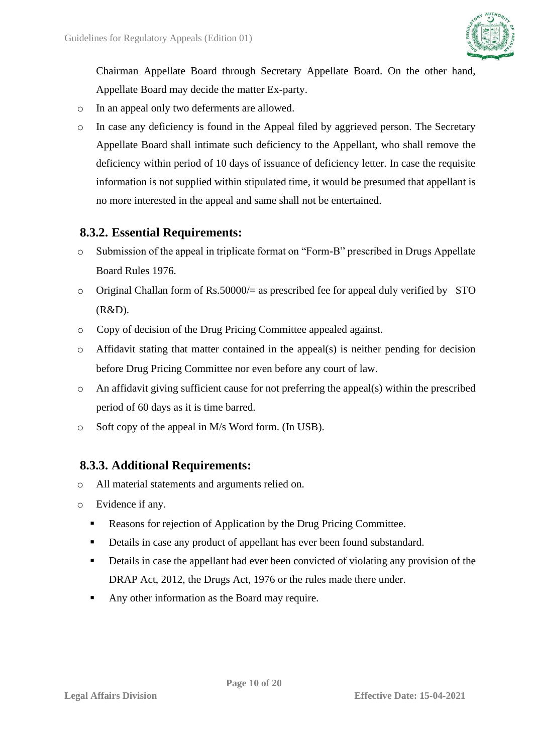

Chairman Appellate Board through Secretary Appellate Board. On the other hand, Appellate Board may decide the matter Ex-party.

- o In an appeal only two deferments are allowed.
- o In case any deficiency is found in the Appeal filed by aggrieved person. The Secretary Appellate Board shall intimate such deficiency to the Appellant, who shall remove the deficiency within period of 10 days of issuance of deficiency letter. In case the requisite information is not supplied within stipulated time, it would be presumed that appellant is no more interested in the appeal and same shall not be entertained.

#### **8.3.2. Essential Requirements:**

- o Submission of the appeal in triplicate format on "Form-B" prescribed in Drugs Appellate Board Rules 1976.
- $\circ$  Original Challan form of Rs.50000/= as prescribed fee for appeal duly verified by STO (R&D).
- o Copy of decision of the Drug Pricing Committee appealed against.
- o Affidavit stating that matter contained in the appeal(s) is neither pending for decision before Drug Pricing Committee nor even before any court of law.
- o An affidavit giving sufficient cause for not preferring the appeal(s) within the prescribed period of 60 days as it is time barred.
- o Soft copy of the appeal in M/s Word form. (In USB).

#### **8.3.3. Additional Requirements:**

- o All material statements and arguments relied on.
- o Evidence if any.
	- Reasons for rejection of Application by the Drug Pricing Committee.
	- Details in case any product of appellant has ever been found substandard.
	- Details in case the appellant had ever been convicted of violating any provision of the DRAP Act, 2012, the Drugs Act, 1976 or the rules made there under.
	- Any other information as the Board may require.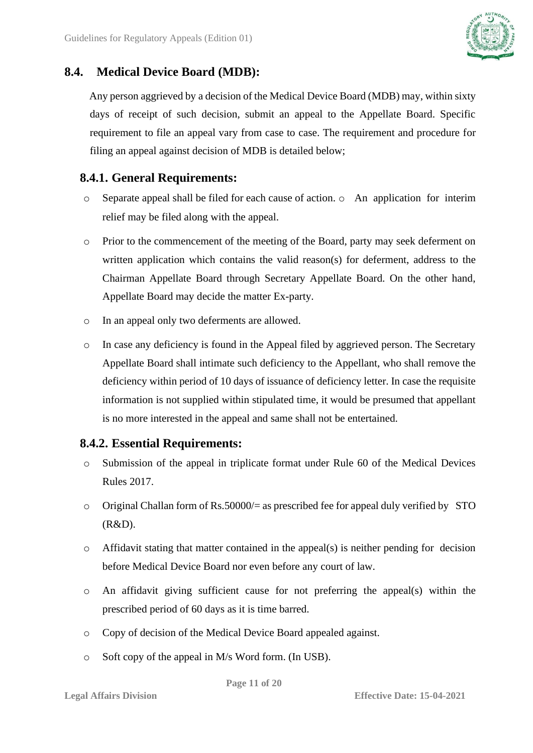### <span id="page-10-0"></span>**8.4. Medical Device Board (MDB):**

Any person aggrieved by a decision of the Medical Device Board (MDB) may, within sixty days of receipt of such decision, submit an appeal to the Appellate Board. Specific requirement to file an appeal vary from case to case. The requirement and procedure for filing an appeal against decision of MDB is detailed below;

### **8.4.1. General Requirements:**

- o Separate appeal shall be filed for each cause of action. o An application for interim relief may be filed along with the appeal.
- o Prior to the commencement of the meeting of the Board, party may seek deferment on written application which contains the valid reason(s) for deferment, address to the Chairman Appellate Board through Secretary Appellate Board. On the other hand, Appellate Board may decide the matter Ex-party.
- o In an appeal only two deferments are allowed.
- o In case any deficiency is found in the Appeal filed by aggrieved person. The Secretary Appellate Board shall intimate such deficiency to the Appellant, who shall remove the deficiency within period of 10 days of issuance of deficiency letter. In case the requisite information is not supplied within stipulated time, it would be presumed that appellant is no more interested in the appeal and same shall not be entertained.

#### **8.4.2. Essential Requirements:**

- o Submission of the appeal in triplicate format under Rule 60 of the Medical Devices Rules 2017.
- o Original Challan form of Rs.50000/= as prescribed fee for appeal duly verified by STO (R&D).
- o Affidavit stating that matter contained in the appeal(s) is neither pending for decision before Medical Device Board nor even before any court of law.
- o An affidavit giving sufficient cause for not preferring the appeal(s) within the prescribed period of 60 days as it is time barred.
- o Copy of decision of the Medical Device Board appealed against.
- o Soft copy of the appeal in M/s Word form. (In USB).

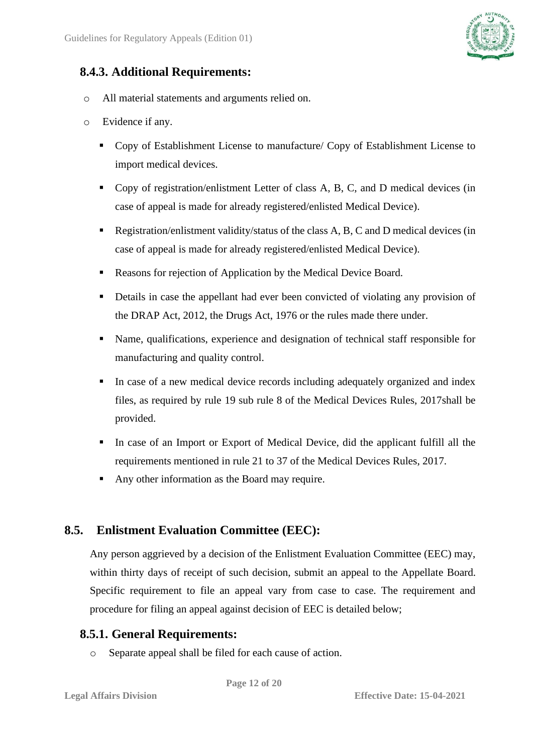

## **8.4.3. Additional Requirements:**

- o All material statements and arguments relied on.
- o Evidence if any.
	- Copy of Establishment License to manufacture/ Copy of Establishment License to import medical devices.
	- Copy of registration/enlistment Letter of class A, B, C, and D medical devices (in case of appeal is made for already registered/enlisted Medical Device).
	- Registration/enlistment validity/status of the class A, B, C and D medical devices (in case of appeal is made for already registered/enlisted Medical Device).
	- Reasons for rejection of Application by the Medical Device Board.
	- Details in case the appellant had ever been convicted of violating any provision of the DRAP Act, 2012, the Drugs Act, 1976 or the rules made there under.
	- Name, qualifications, experience and designation of technical staff responsible for manufacturing and quality control.
	- **IF** In case of a new medical device records including adequately organized and index files, as required by rule 19 sub rule 8 of the Medical Devices Rules, 2017shall be provided.
	- In case of an Import or Export of Medical Device, did the applicant fulfill all the requirements mentioned in rule 21 to 37 of the Medical Devices Rules, 2017.
	- Any other information as the Board may require.

## <span id="page-11-0"></span>**8.5. Enlistment Evaluation Committee (EEC):**

Any person aggrieved by a decision of the Enlistment Evaluation Committee (EEC) may, within thirty days of receipt of such decision, submit an appeal to the Appellate Board. Specific requirement to file an appeal vary from case to case. The requirement and procedure for filing an appeal against decision of EEC is detailed below;

## **8.5.1. General Requirements:**

o Separate appeal shall be filed for each cause of action.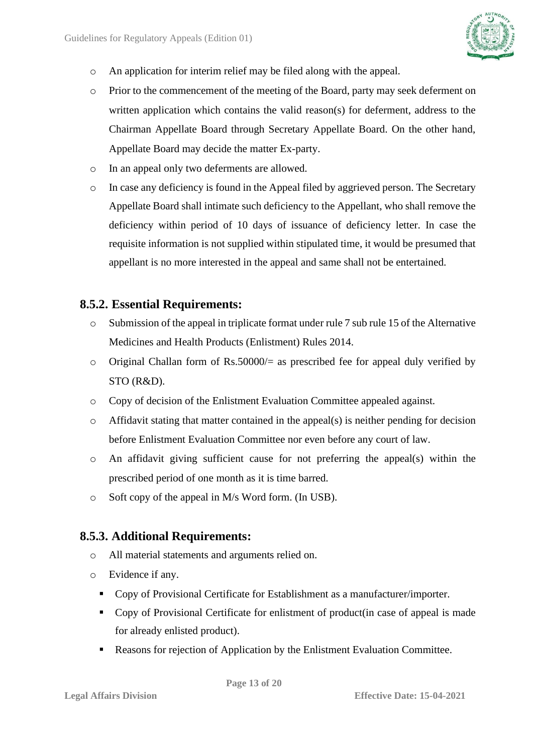

- o An application for interim relief may be filed along with the appeal.
- o Prior to the commencement of the meeting of the Board, party may seek deferment on written application which contains the valid reason(s) for deferment, address to the Chairman Appellate Board through Secretary Appellate Board. On the other hand, Appellate Board may decide the matter Ex-party.
- o In an appeal only two deferments are allowed.
- o In case any deficiency is found in the Appeal filed by aggrieved person. The Secretary Appellate Board shall intimate such deficiency to the Appellant, who shall remove the deficiency within period of 10 days of issuance of deficiency letter. In case the requisite information is not supplied within stipulated time, it would be presumed that appellant is no more interested in the appeal and same shall not be entertained.

#### **8.5.2. Essential Requirements:**

- o Submission of the appeal in triplicate format under rule 7 sub rule 15 of the Alternative Medicines and Health Products (Enlistment) Rules 2014.
- $\circ$  Original Challan form of Rs.50000/= as prescribed fee for appeal duly verified by STO (R&D).
- o Copy of decision of the Enlistment Evaluation Committee appealed against.
- o Affidavit stating that matter contained in the appeal(s) is neither pending for decision before Enlistment Evaluation Committee nor even before any court of law.
- o An affidavit giving sufficient cause for not preferring the appeal(s) within the prescribed period of one month as it is time barred.
- o Soft copy of the appeal in M/s Word form. (In USB).

#### **8.5.3. Additional Requirements:**

- o All material statements and arguments relied on.
- o Evidence if any.
	- Copy of Provisional Certificate for Establishment as a manufacturer/importer.
	- Copy of Provisional Certificate for enlistment of product(in case of appeal is made for already enlisted product).
	- Reasons for rejection of Application by the Enlistment Evaluation Committee.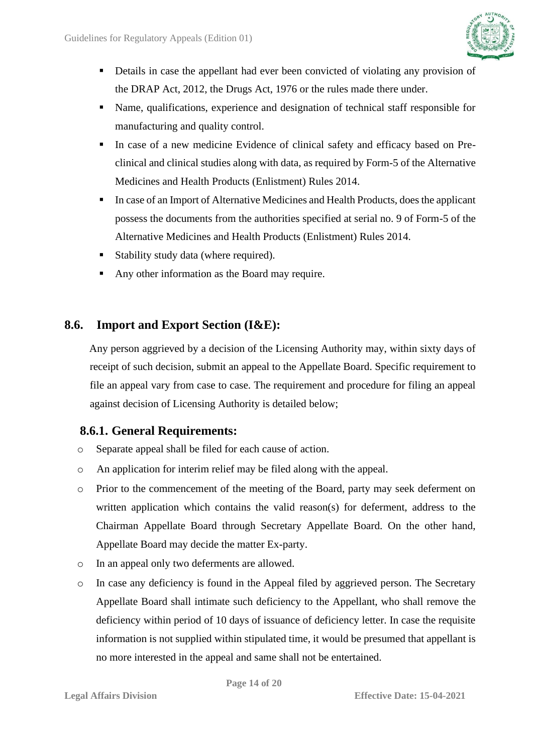

- Details in case the appellant had ever been convicted of violating any provision of the DRAP Act, 2012, the Drugs Act, 1976 or the rules made there under.
- Name, qualifications, experience and designation of technical staff responsible for manufacturing and quality control.
- In case of a new medicine Evidence of clinical safety and efficacy based on Preclinical and clinical studies along with data, as required by Form-5 of the Alternative Medicines and Health Products (Enlistment) Rules 2014.
- In case of an Import of Alternative Medicines and Health Products, does the applicant possess the documents from the authorities specified at serial no. 9 of Form-5 of the Alternative Medicines and Health Products (Enlistment) Rules 2014.
- Stability study data (where required).
- Any other information as the Board may require.

## <span id="page-13-0"></span>**8.6. Import and Export Section (I&E):**

Any person aggrieved by a decision of the Licensing Authority may, within sixty days of receipt of such decision, submit an appeal to the Appellate Board. Specific requirement to file an appeal vary from case to case. The requirement and procedure for filing an appeal against decision of Licensing Authority is detailed below;

## **8.6.1. General Requirements:**

- o Separate appeal shall be filed for each cause of action.
- o An application for interim relief may be filed along with the appeal.
- o Prior to the commencement of the meeting of the Board, party may seek deferment on written application which contains the valid reason(s) for deferment, address to the Chairman Appellate Board through Secretary Appellate Board. On the other hand, Appellate Board may decide the matter Ex-party.
- o In an appeal only two deferments are allowed.
- o In case any deficiency is found in the Appeal filed by aggrieved person. The Secretary Appellate Board shall intimate such deficiency to the Appellant, who shall remove the deficiency within period of 10 days of issuance of deficiency letter. In case the requisite information is not supplied within stipulated time, it would be presumed that appellant is no more interested in the appeal and same shall not be entertained.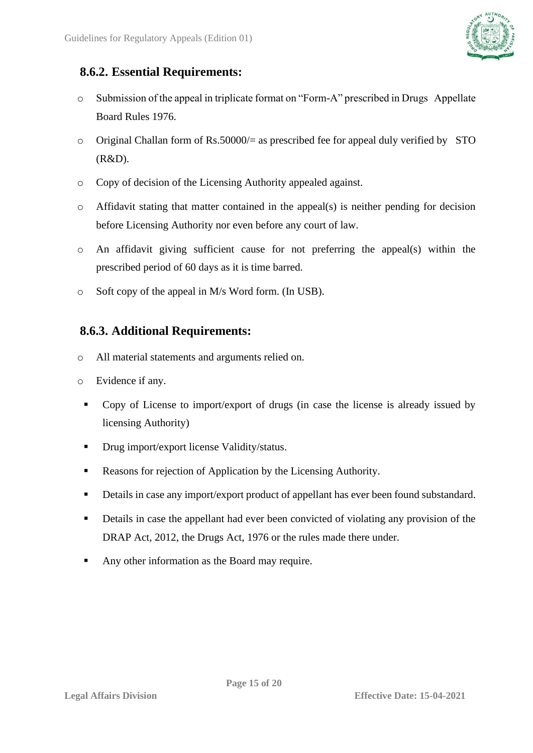

### **8.6.2. Essential Requirements:**

- o Submission of the appeal in triplicate format on "Form-A" prescribed in Drugs Appellate Board Rules 1976.
- o Original Challan form of Rs.50000/= as prescribed fee for appeal duly verified by STO (R&D).
- o Copy of decision of the Licensing Authority appealed against.
- o Affidavit stating that matter contained in the appeal(s) is neither pending for decision before Licensing Authority nor even before any court of law.
- o An affidavit giving sufficient cause for not preferring the appeal(s) within the prescribed period of 60 days as it is time barred.
- o Soft copy of the appeal in M/s Word form. (In USB).

## **8.6.3. Additional Requirements:**

- o All material statements and arguments relied on.
- o Evidence if any.
	- Copy of License to import/export of drugs (in case the license is already issued by licensing Authority)
	- Drug import/export license Validity/status.
	- Reasons for rejection of Application by the Licensing Authority.
	- Details in case any import/export product of appellant has ever been found substandard.
	- Details in case the appellant had ever been convicted of violating any provision of the DRAP Act, 2012, the Drugs Act, 1976 or the rules made there under.
	- Any other information as the Board may require.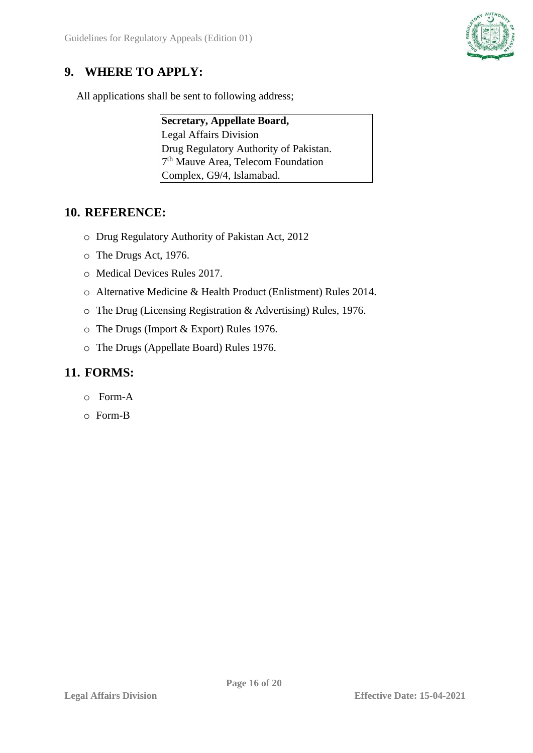# <span id="page-15-0"></span>**9. WHERE TO APPLY:**

All applications shall be sent to following address;

**Secretary, Appellate Board,**  Legal Affairs Division Drug Regulatory Authority of Pakistan. 7 th Mauve Area, Telecom Foundation Complex, G9/4, Islamabad.

#### <span id="page-15-1"></span>**10. REFERENCE:**

- o Drug Regulatory Authority of Pakistan Act, 2012
- o The Drugs Act, 1976.
- o Medical Devices Rules 2017.
- o Alternative Medicine & Health Product (Enlistment) Rules 2014.
- o The Drug (Licensing Registration & Advertising) Rules, 1976.
- o The Drugs (Import & Export) Rules 1976.
- o The Drugs (Appellate Board) Rules 1976.

### <span id="page-15-2"></span>**11. FORMS:**

- o Form-A
- o Form-B

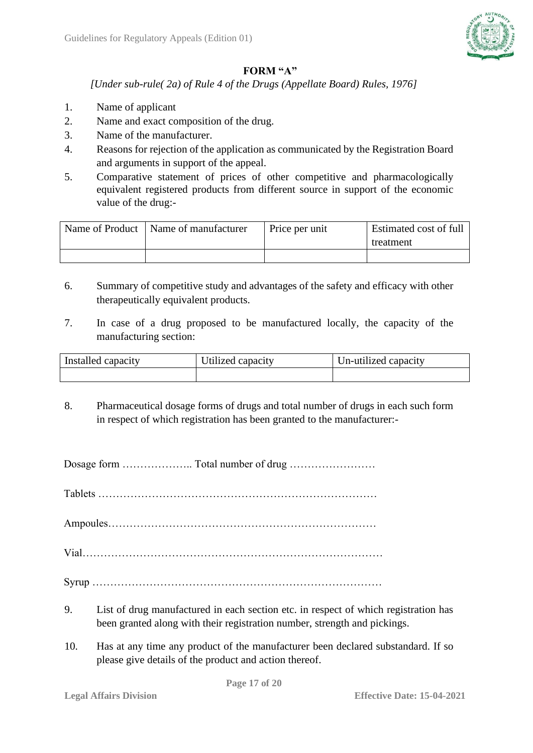

#### **FORM "A"**

*[Under sub-rule( 2a) of Rule 4 of the Drugs (Appellate Board) Rules, 1976]* 

- 1. Name of applicant
- 2. Name and exact composition of the drug.
- 3. Name of the manufacturer.
- 4. Reasons for rejection of the application as communicated by the Registration Board and arguments in support of the appeal.
- 5. Comparative statement of prices of other competitive and pharmacologically equivalent registered products from different source in support of the economic value of the drug:-

| Name of Product   Name of manufacturer | Price per unit | Estimated cost of full<br>treatment |
|----------------------------------------|----------------|-------------------------------------|
|                                        |                |                                     |

- 6. Summary of competitive study and advantages of the safety and efficacy with other therapeutically equivalent products.
- 7. In case of a drug proposed to be manufactured locally, the capacity of the manufacturing section:

| Installed capacity | Utilized capacity | Un-utilized capacity |
|--------------------|-------------------|----------------------|
|                    |                   |                      |

8. Pharmaceutical dosage forms of drugs and total number of drugs in each such form in respect of which registration has been granted to the manufacturer:-

Dosage form ……………….. Total number of drug ……………………

Tablets ……………………………………………………………………

Ampoules…………………………………………………………………

Vial…………………………………………………………………………

Syrup ………………………………………………………………………

- 9. List of drug manufactured in each section etc. in respect of which registration has been granted along with their registration number, strength and pickings.
- 10. Has at any time any product of the manufacturer been declared substandard. If so please give details of the product and action thereof.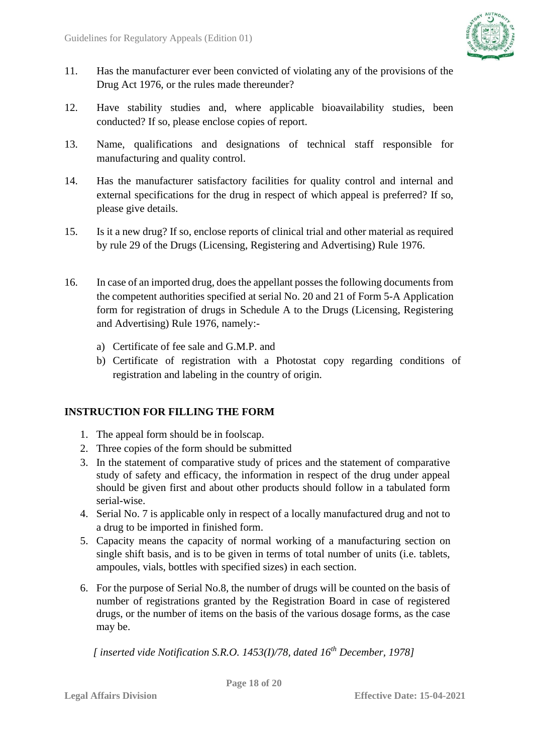

- 11. Has the manufacturer ever been convicted of violating any of the provisions of the Drug Act 1976, or the rules made thereunder?
- 12. Have stability studies and, where applicable bioavailability studies, been conducted? If so, please enclose copies of report.
- 13. Name, qualifications and designations of technical staff responsible for manufacturing and quality control.
- 14. Has the manufacturer satisfactory facilities for quality control and internal and external specifications for the drug in respect of which appeal is preferred? If so, please give details.
- 15. Is it a new drug? If so, enclose reports of clinical trial and other material as required by rule 29 of the Drugs (Licensing, Registering and Advertising) Rule 1976.
- 16. In case of an imported drug, does the appellant posses the following documents from the competent authorities specified at serial No. 20 and 21 of Form 5-A Application form for registration of drugs in Schedule A to the Drugs (Licensing, Registering and Advertising) Rule 1976, namely:
	- a) Certificate of fee sale and G.M.P. and
	- b) Certificate of registration with a Photostat copy regarding conditions of registration and labeling in the country of origin.

#### **INSTRUCTION FOR FILLING THE FORM**

- 1. The appeal form should be in foolscap.
- 2. Three copies of the form should be submitted
- 3. In the statement of comparative study of prices and the statement of comparative study of safety and efficacy, the information in respect of the drug under appeal should be given first and about other products should follow in a tabulated form serial-wise.
- 4. Serial No. 7 is applicable only in respect of a locally manufactured drug and not to a drug to be imported in finished form.
- 5. Capacity means the capacity of normal working of a manufacturing section on single shift basis, and is to be given in terms of total number of units (i.e. tablets, ampoules, vials, bottles with specified sizes) in each section.
- 6. For the purpose of Serial No.8, the number of drugs will be counted on the basis of number of registrations granted by the Registration Board in case of registered drugs, or the number of items on the basis of the various dosage forms, as the case may be.

*[ inserted vide Notification S.R.O. 1453(I)/78, dated 16th December, 1978]*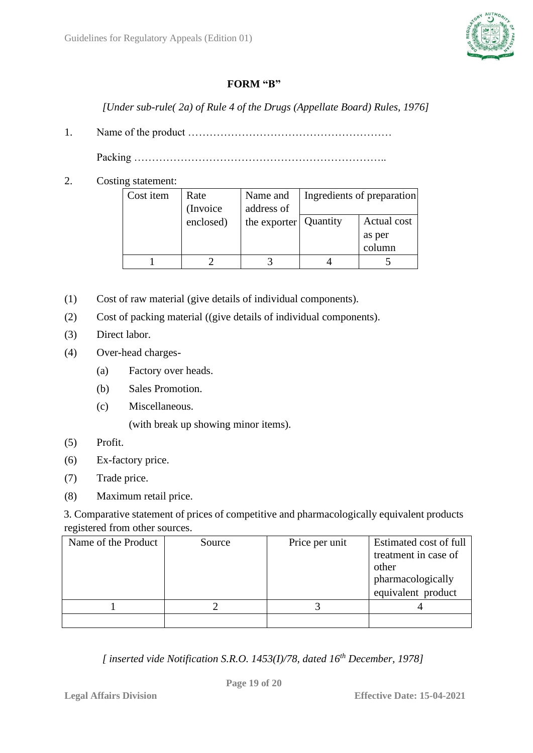

#### **FORM "B"**

*[Under sub-rule( 2a) of Rule 4 of the Drugs (Appellate Board) Rules, 1976]* 

1. Name of the product …………………………………………………

Packing ……………………………………………………………..

2. Costing statement:

| Cost item | Rate<br>(Invoice | Name and<br>address of  | Ingredients of preparation |                                 |
|-----------|------------------|-------------------------|----------------------------|---------------------------------|
|           | enclosed)        | the exporter   Quantity |                            | Actual cost<br>as per<br>column |
|           |                  |                         |                            |                                 |

- (1) Cost of raw material (give details of individual components).
- (2) Cost of packing material ((give details of individual components).
- (3) Direct labor.
- (4) Over-head charges-
	- (a) Factory over heads.
	- (b) Sales Promotion.
	- (c) Miscellaneous.

(with break up showing minor items).

- (5) Profit.
- (6) Ex-factory price.
- (7) Trade price.
- (8) Maximum retail price.

3. Comparative statement of prices of competitive and pharmacologically equivalent products registered from other sources.

| Name of the Product | Source | Price per unit | Estimated cost of full<br>treatment in case of<br>other<br>pharmacologically<br>equivalent product |
|---------------------|--------|----------------|----------------------------------------------------------------------------------------------------|
|                     |        |                |                                                                                                    |
|                     |        |                |                                                                                                    |

*[ inserted vide Notification S.R.O. 1453(I)/78, dated 16th December, 1978]* 

**Page 19 of 20**